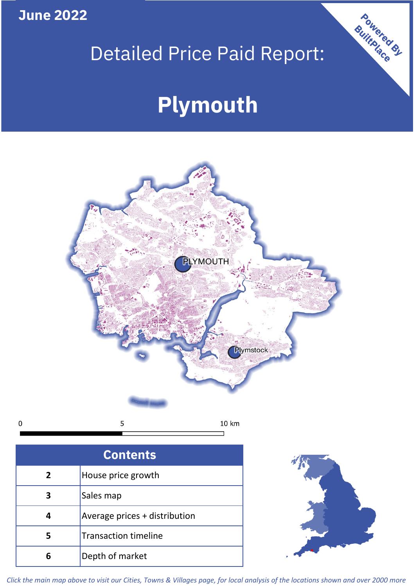**June 2022**

 $\mathbf 0$ 

# Detailed Price Paid Report:

# **Plymouth**



| <b>Contents</b> |                               |  |  |  |
|-----------------|-------------------------------|--|--|--|
|                 |                               |  |  |  |
| $\overline{2}$  | House price growth            |  |  |  |
| 3               | Sales map                     |  |  |  |
|                 | Average prices + distribution |  |  |  |
| 5               | <b>Transaction timeline</b>   |  |  |  |
|                 | Depth of market               |  |  |  |



Powered By

*Click the main map above to visit our Cities, Towns & Villages page, for local analysis of the locations shown and over 2000 more*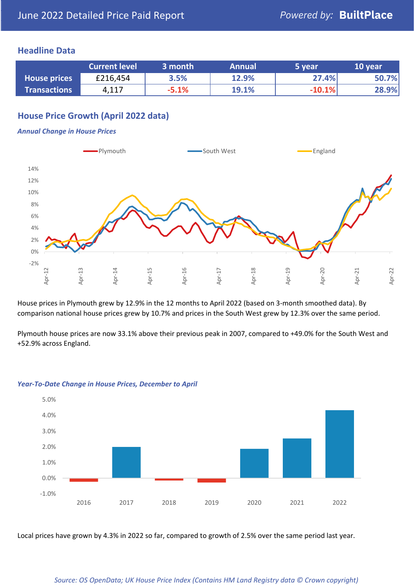### **Headline Data**

|                     | <b>Current level</b> | 3 month | <b>Annual</b> | 5 year   | 10 year |
|---------------------|----------------------|---------|---------------|----------|---------|
| <b>House prices</b> | £216,454             | 3.5%    | 12.9%         | 27.4%    | 50.7%   |
| <b>Transactions</b> | 4,117                | $-5.1%$ | 19.1%         | $-10.1%$ | 28.9%   |

## **House Price Growth (April 2022 data)**

#### *Annual Change in House Prices*



House prices in Plymouth grew by 12.9% in the 12 months to April 2022 (based on 3-month smoothed data). By comparison national house prices grew by 10.7% and prices in the South West grew by 12.3% over the same period.

Plymouth house prices are now 33.1% above their previous peak in 2007, compared to +49.0% for the South West and +52.9% across England.



#### *Year-To-Date Change in House Prices, December to April*

Local prices have grown by 4.3% in 2022 so far, compared to growth of 2.5% over the same period last year.

#### *Source: OS OpenData; UK House Price Index (Contains HM Land Registry data © Crown copyright)*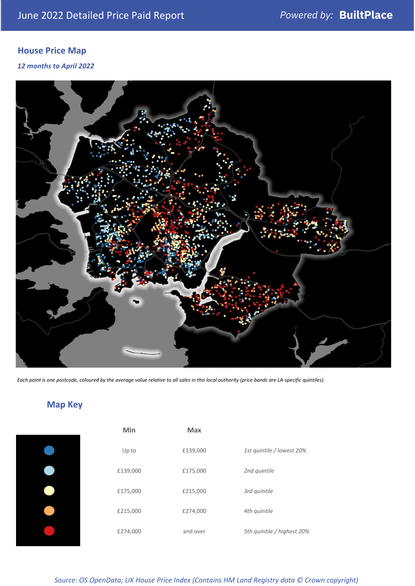# **House Price Map**

*12 months to April 2022*



*Each point is one postcode, coloured by the average value relative to all sales in this local authority (price bands are LA-specific quintiles).*

# **Map Key**

| Min      | Max      |                            |
|----------|----------|----------------------------|
| Up to    | £139,000 | 1st quintile / lowest 20%  |
| £139,000 | £175,000 | 2nd quintile               |
| £175,000 | £215,000 | 3rd quintile               |
| £215,000 | £274,000 | 4th quintile               |
| £274,000 | and over | 5th quintile / highest 20% |

*Source: OS OpenData; UK House Price Index (Contains HM Land Registry data © Crown copyright)*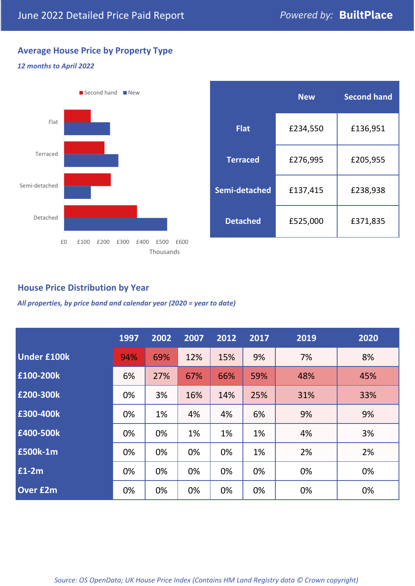# **Average House Price by Property Type**

#### *12 months to April 2022*



|                 | <b>New</b> | <b>Second hand</b> |  |  |
|-----------------|------------|--------------------|--|--|
| <b>Flat</b>     | £234,550   | £136,951           |  |  |
| <b>Terraced</b> | £276,995   | £205,955           |  |  |
| Semi-detached   | £137,415   | £238,938           |  |  |
| <b>Detached</b> | £525,000   | £371,835           |  |  |

## **House Price Distribution by Year**

*All properties, by price band and calendar year (2020 = year to date)*

|                    | 1997 | 2002 | 2007 | 2012 | 2017 | 2019 | 2020 |
|--------------------|------|------|------|------|------|------|------|
| <b>Under £100k</b> | 94%  | 69%  | 12%  | 15%  | 9%   | 7%   | 8%   |
| £100-200k          | 6%   | 27%  | 67%  | 66%  | 59%  | 48%  | 45%  |
| E200-300k          | 0%   | 3%   | 16%  | 14%  | 25%  | 31%  | 33%  |
| £300-400k          | 0%   | 1%   | 4%   | 4%   | 6%   | 9%   | 9%   |
| £400-500k          | 0%   | 0%   | 1%   | 1%   | 1%   | 4%   | 3%   |
| <b>£500k-1m</b>    | 0%   | 0%   | 0%   | 0%   | 1%   | 2%   | 2%   |
| £1-2m              | 0%   | 0%   | 0%   | 0%   | 0%   | 0%   | 0%   |
| <b>Over £2m</b>    | 0%   | 0%   | 0%   | 0%   | 0%   | 0%   | 0%   |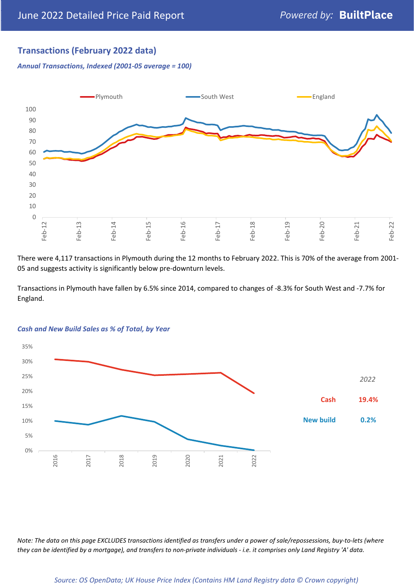# **Transactions (February 2022 data)**

*Annual Transactions, Indexed (2001-05 average = 100)*



There were 4,117 transactions in Plymouth during the 12 months to February 2022. This is 70% of the average from 2001- 05 and suggests activity is significantly below pre-downturn levels.

Transactions in Plymouth have fallen by 6.5% since 2014, compared to changes of -8.3% for South West and -7.7% for England.



#### *Cash and New Build Sales as % of Total, by Year*

*Note: The data on this page EXCLUDES transactions identified as transfers under a power of sale/repossessions, buy-to-lets (where they can be identified by a mortgage), and transfers to non-private individuals - i.e. it comprises only Land Registry 'A' data.*